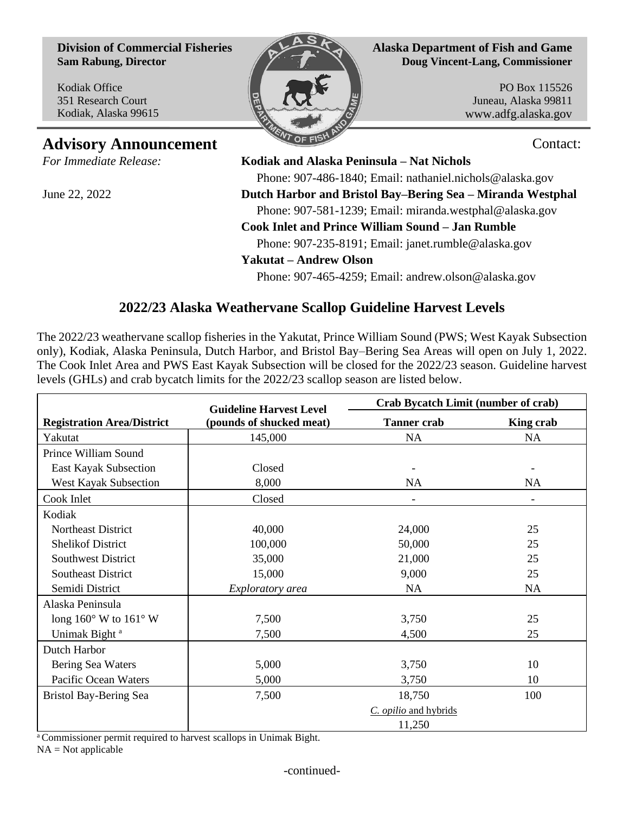**Division of Commercial Fisheries Sam Rabung, Director**

Kodiak Office 351 Research Court Kodiak, Alaska 99615



## **Alaska Department of Fish and Game Doug Vincent-Lang, Commissioner**

PO Box 115526 Juneau, Alaska 99811 www.adfg.alaska.gov

## Advisory Announcement Contact:

*For Immediate Release:* **Kodiak and Alaska Peninsula – Nat Nichols** Phone: 907-486-1840; Email: nathaniel.nichols@alaska.gov June 22, 2022 **Dutch Harbor and Bristol Bay–Bering Sea – Miranda Westphal** Phone: 907-581-1239; Email: miranda.westphal@alaska.gov **Cook Inlet and Prince William Sound – Jan Rumble**

Phone: 907-235-8191; Email: janet.rumble@alaska.gov

**Yakutat – Andrew Olson**

Phone: 907-465-4259; Email: andrew.olson@alaska.gov

## **2022/23 Alaska Weathervane Scallop Guideline Harvest Levels**

The 2022/23 weathervane scallop fisheries in the Yakutat, Prince William Sound (PWS; West Kayak Subsection only), Kodiak, Alaska Peninsula, Dutch Harbor, and Bristol Bay–Bering Sea Areas will open on July 1, 2022. The Cook Inlet Area and PWS East Kayak Subsection will be closed for the 2022/23 season. Guideline harvest levels (GHLs) and crab bycatch limits for the 2022/23 scallop season are listed below.

|                                     | <b>Guideline Harvest Level</b><br>(pounds of shucked meat) | Crab Bycatch Limit (number of crab) |                          |
|-------------------------------------|------------------------------------------------------------|-------------------------------------|--------------------------|
| <b>Registration Area/District</b>   |                                                            | <b>Tanner</b> crab                  | <b>King crab</b>         |
| Yakutat                             | 145,000                                                    | <b>NA</b>                           | <b>NA</b>                |
| Prince William Sound                |                                                            |                                     |                          |
| East Kayak Subsection               | Closed                                                     |                                     |                          |
| <b>West Kayak Subsection</b>        | 8,000                                                      | <b>NA</b>                           | <b>NA</b>                |
| Cook Inlet                          | Closed                                                     |                                     | $\overline{\phantom{a}}$ |
| Kodiak                              |                                                            |                                     |                          |
| Northeast District                  | 40,000                                                     | 24,000                              | 25                       |
| <b>Shelikof District</b>            | 100,000                                                    | 50,000                              | 25                       |
| <b>Southwest District</b>           | 35,000                                                     | 21,000                              | 25                       |
| <b>Southeast District</b>           | 15,000                                                     | 9,000                               | 25                       |
| Semidi District                     | Exploratory area                                           | <b>NA</b>                           | <b>NA</b>                |
| Alaska Peninsula                    |                                                            |                                     |                          |
| long $160^\circ$ W to $161^\circ$ W | 7,500                                                      | 3,750                               | 25                       |
| Unimak Bight <sup>a</sup>           | 7,500                                                      | 4,500                               | 25                       |
| Dutch Harbor                        |                                                            |                                     |                          |
| Bering Sea Waters                   | 5,000                                                      | 3,750                               | 10                       |
| Pacific Ocean Waters                | 5,000                                                      | 3,750                               | 10                       |
| Bristol Bay-Bering Sea              | 7,500                                                      | 18,750                              | 100                      |
|                                     |                                                            | C. opilio and hybrids               |                          |
|                                     |                                                            | 11,250                              |                          |

<sup>a</sup>Commissioner permit required to harvest scallops in Unimak Bight.

 $NA = Not applicable$